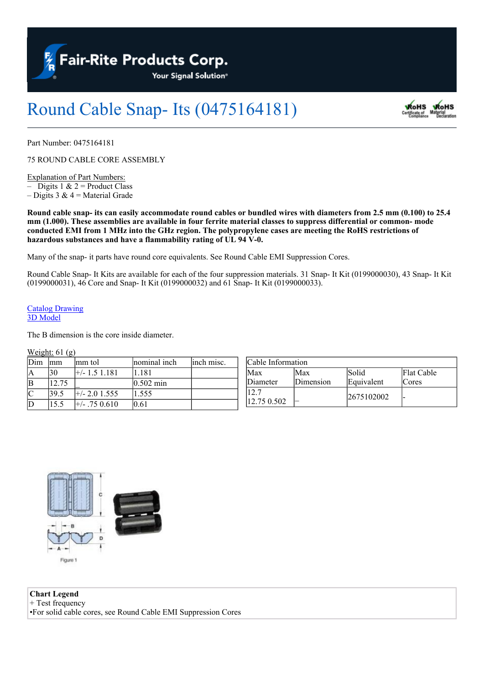**Fair-Rite Products Corp.** 

Your Signal Solution®

## Round Cable Snap- Its (0475164181)



Part Number: 0475164181

75 ROUND CABLE CORE ASSEMBLY

Explanation of Part Numbers: – Digits 1  $& 2$  = Product Class

– Digits 3  $& 4$  = Material Grade

Round cable snap- its can easily accommodate round cables or bundled wires with diameters from 2.5 mm (0.100) to 25.4 mm (1.000). These assemblies are available in four ferrite material classes to suppress differential or common-mode conducted EMI from 1 MHz into the GHz region. The polypropylene cases are meeting the RoHS restrictions of **hazardous substances and have a flammability rating of UL 94 V-0.**

Many of the snap- it parts have round core equivalents. See Round Cable EMI Suppression Cores.

Round Cable Snap- It Kits are available for each of the four suppression materials. 31 Snap- It Kit (0199000030), 43 Snap- It Kit (0199000031), 46 Core and Snap- It Kit (0199000032) and 61 Snap- It Kit (0199000033).

## [Catalog](https://www.fair-rite.com/wp-content/uploads/2020/07/0475164181cat.pdf) [Drawing](https://www.fair-rite.com/wp-content/uploads/2020/07/0475164181cat.pdf) [3D](https://www.fair-rite.com/wp-content/uploads/2020/07/0475164181.zip) [Model](https://www.fair-rite.com/wp-content/uploads/2020/07/0475164181.zip)

The B dimension is the core inside diameter.

## Weight:  $61$  (g)

| Dim        | lmm   | lmm tol            | nominal inch        | linch misc. | Cable Information |           |            |            |  |
|------------|-------|--------------------|---------------------|-------------|-------------------|-----------|------------|------------|--|
| ΙA         | 130   | $\pm$ /-1.51.181   | .181                |             | Max               | lMax      | Solid      | Flat Cable |  |
| $ {\bf B}$ | 12.75 |                    | $0.502 \text{ min}$ |             | Diameter          | Dimension | Equivalent | lCores     |  |
| C          | 139.5 | $\pm$ /- 2.0 1.555 | .555                |             | 12.7              |           | 2675102002 |            |  |
| D          | 15.5  | $+/-$ .75 0.610    | 0.61                |             | 12.75 0.502       |           |            |            |  |

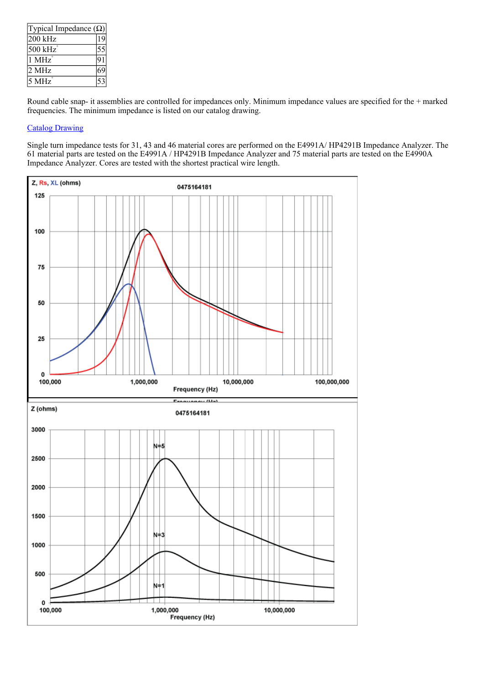| Typical Impedance $(\Omega)$ |  |  |  |  |  |
|------------------------------|--|--|--|--|--|
| 200 kHz                      |  |  |  |  |  |
| 500 kHz                      |  |  |  |  |  |
| $1$ MHz                      |  |  |  |  |  |
| 2 MHz                        |  |  |  |  |  |
| 5 MHz                        |  |  |  |  |  |

Round cable snap- it assemblies are controlled for impedances only. Minimum impedance values are specified for the + marked frequencies. The minimum impedance is listed on our catalog drawing.

## [Catalog](https://www.fair-rite.com/wp-content/uploads/2020/07/0475164181cat.pdf) [Drawing](https://www.fair-rite.com/wp-content/uploads/2020/07/0475164181cat.pdf)

Single turn impedance tests for 31, 43 and 46 material cores are performed on the E4991A/ HP4291B Impedance Analyzer. The 61 material parts are tested on the E4991A / HP4291B Impedance Analyzer and 75 material parts are tested on the E4990A Impedance Analyzer. Cores are tested with the shortest practical wire length.